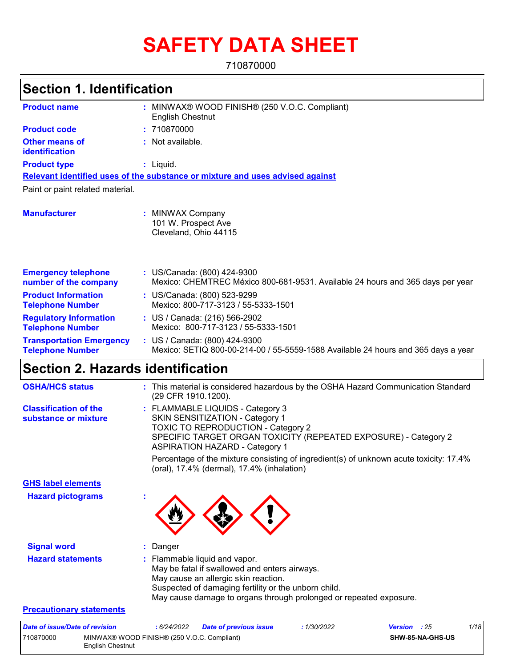# **SAFETY DATA SHEET**

710870000

### **Section 1. Identification**

| <b>Product name</b>                                        | MINWAX® WOOD FINISH® (250 V.O.C. Compliant)<br><b>English Chestnut</b>                                             |  |  |  |
|------------------------------------------------------------|--------------------------------------------------------------------------------------------------------------------|--|--|--|
| <b>Product code</b>                                        | : 710870000                                                                                                        |  |  |  |
| <b>Other means of</b><br>identification                    | : Not available.                                                                                                   |  |  |  |
| <b>Product type</b>                                        | $:$ Liquid.                                                                                                        |  |  |  |
|                                                            | Relevant identified uses of the substance or mixture and uses advised against                                      |  |  |  |
| Paint or paint related material.                           |                                                                                                                    |  |  |  |
| <b>Manufacturer</b>                                        | : MINWAX Company<br>101 W. Prospect Ave<br>Cleveland, Ohio 44115                                                   |  |  |  |
| <b>Emergency telephone</b><br>number of the company        | : US/Canada: (800) 424-9300<br>Mexico: CHEMTREC México 800-681-9531. Available 24 hours and 365 days per year      |  |  |  |
| <b>Product Information</b><br><b>Telephone Number</b>      | : US/Canada: (800) 523-9299<br>Mexico: 800-717-3123 / 55-5333-1501                                                 |  |  |  |
| <b>Regulatory Information</b><br><b>Telephone Number</b>   | : US / Canada: (216) 566-2902<br>Mexico: 800-717-3123 / 55-5333-1501                                               |  |  |  |
| <b>Transportation Emergency</b><br><b>Telephone Number</b> | : US / Canada: (800) 424-9300<br>Mexico: SETIQ 800-00-214-00 / 55-5559-1588 Available 24 hours and 365 days a year |  |  |  |

### **Section 2. Hazards identification**

710870000 MINWAX® WOOD FINISH® (250 V.O.C. Compliant)

English Chestnut

| <b>OSHA/HCS status</b>                               | : This material is considered hazardous by the OSHA Hazard Communication Standard<br>(29 CFR 1910.1200).                                                                                                                                             |  |  |  |  |
|------------------------------------------------------|------------------------------------------------------------------------------------------------------------------------------------------------------------------------------------------------------------------------------------------------------|--|--|--|--|
| <b>Classification of the</b><br>substance or mixture | : FLAMMABLE LIQUIDS - Category 3<br>SKIN SENSITIZATION - Category 1<br>TOXIC TO REPRODUCTION - Category 2<br>SPECIFIC TARGET ORGAN TOXICITY (REPEATED EXPOSURE) - Category 2<br><b>ASPIRATION HAZARD - Category 1</b>                                |  |  |  |  |
|                                                      | Percentage of the mixture consisting of ingredient(s) of unknown acute toxicity: 17.4%<br>(oral), 17.4% (dermal), 17.4% (inhalation)                                                                                                                 |  |  |  |  |
| <b>GHS label elements</b>                            |                                                                                                                                                                                                                                                      |  |  |  |  |
| <b>Hazard pictograms</b>                             |                                                                                                                                                                                                                                                      |  |  |  |  |
| <b>Signal word</b>                                   | Danger                                                                                                                                                                                                                                               |  |  |  |  |
| <b>Hazard statements</b>                             | : Flammable liquid and vapor.<br>May be fatal if swallowed and enters airways.<br>May cause an allergic skin reaction.<br>Suspected of damaging fertility or the unborn child.<br>May cause damage to organs through prolonged or repeated exposure. |  |  |  |  |
| <b>Precautionary statements</b>                      |                                                                                                                                                                                                                                                      |  |  |  |  |
| Date of issue/Date of revision                       | 1/18<br>: 6/24/2022<br><b>Date of previous issue</b><br>: 1/30/2022<br><b>Version</b><br>: 25                                                                                                                                                        |  |  |  |  |

**SHW-85-NA-GHS-US**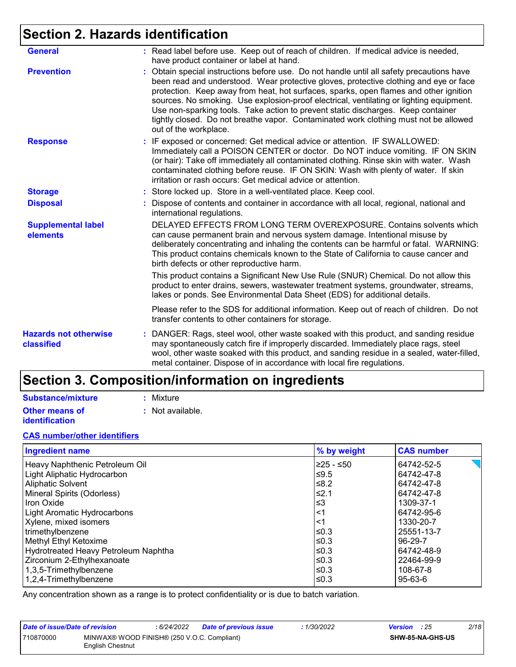### **Section 2. Hazards identification**

| <b>General</b>                             | : Read label before use. Keep out of reach of children. If medical advice is needed,<br>have product container or label at hand.                                                                                                                                                                                                                                                                                                                                                                                                                                          |  |  |
|--------------------------------------------|---------------------------------------------------------------------------------------------------------------------------------------------------------------------------------------------------------------------------------------------------------------------------------------------------------------------------------------------------------------------------------------------------------------------------------------------------------------------------------------------------------------------------------------------------------------------------|--|--|
| <b>Prevention</b>                          | Obtain special instructions before use. Do not handle until all safety precautions have<br>been read and understood. Wear protective gloves, protective clothing and eye or face<br>protection. Keep away from heat, hot surfaces, sparks, open flames and other ignition<br>sources. No smoking. Use explosion-proof electrical, ventilating or lighting equipment.<br>Use non-sparking tools. Take action to prevent static discharges. Keep container<br>tightly closed. Do not breathe vapor. Contaminated work clothing must not be allowed<br>out of the workplace. |  |  |
| <b>Response</b>                            | : IF exposed or concerned: Get medical advice or attention. IF SWALLOWED:<br>Immediately call a POISON CENTER or doctor. Do NOT induce vomiting. IF ON SKIN<br>(or hair): Take off immediately all contaminated clothing. Rinse skin with water. Wash<br>contaminated clothing before reuse. IF ON SKIN: Wash with plenty of water. If skin<br>irritation or rash occurs: Get medical advice or attention.                                                                                                                                                                |  |  |
| <b>Storage</b>                             | : Store locked up. Store in a well-ventilated place. Keep cool.                                                                                                                                                                                                                                                                                                                                                                                                                                                                                                           |  |  |
| <b>Disposal</b>                            | Dispose of contents and container in accordance with all local, regional, national and<br>international regulations.                                                                                                                                                                                                                                                                                                                                                                                                                                                      |  |  |
| <b>Supplemental label</b><br>elements      | DELAYED EFFECTS FROM LONG TERM OVEREXPOSURE. Contains solvents which<br>can cause permanent brain and nervous system damage. Intentional misuse by<br>deliberately concentrating and inhaling the contents can be harmful or fatal. WARNING:<br>This product contains chemicals known to the State of California to cause cancer and<br>birth defects or other reproductive harm.                                                                                                                                                                                         |  |  |
|                                            | This product contains a Significant New Use Rule (SNUR) Chemical. Do not allow this<br>product to enter drains, sewers, wastewater treatment systems, groundwater, streams,<br>lakes or ponds. See Environmental Data Sheet (EDS) for additional details.                                                                                                                                                                                                                                                                                                                 |  |  |
|                                            | Please refer to the SDS for additional information. Keep out of reach of children. Do not<br>transfer contents to other containers for storage.                                                                                                                                                                                                                                                                                                                                                                                                                           |  |  |
| <b>Hazards not otherwise</b><br>classified | DANGER: Rags, steel wool, other waste soaked with this product, and sanding residue<br>t.<br>may spontaneously catch fire if improperly discarded. Immediately place rags, steel<br>wool, other waste soaked with this product, and sanding residue in a sealed, water-filled,<br>metal container. Dispose of in accordance with local fire regulations.                                                                                                                                                                                                                  |  |  |

### **Section 3. Composition/information on ingredients**

#### **Substance/mixture**

**Other means of identification**

- **:** Mixture
- **:** Not available.

#### **CAS number/other identifiers**

| <b>Ingredient name</b>               | % by weight | <b>CAS number</b> |
|--------------------------------------|-------------|-------------------|
| Heavy Naphthenic Petroleum Oil       | l≥25 - ≤50  | 64742-52-5        |
| Light Aliphatic Hydrocarbon          | $≤9.5$      | 64742-47-8        |
| Aliphatic Solvent                    | $≤8.2$      | 64742-47-8        |
| Mineral Spirits (Odorless)           | $≤2.1$      | 64742-47-8        |
| Iron Oxide                           | $\leq$ 3    | 1309-37-1         |
| <b>Light Aromatic Hydrocarbons</b>   | $<$ 1       | 64742-95-6        |
| Xylene, mixed isomers                | $<$ 1       | 1330-20-7         |
| trimethylbenzene                     | ≤0.3        | 25551-13-7        |
| Methyl Ethyl Ketoxime                | l≤0.3       | 96-29-7           |
| Hydrotreated Heavy Petroleum Naphtha | l≤0.3       | 64742-48-9        |
| Zirconium 2-Ethylhexanoate           | l≤0.3       | 22464-99-9        |
| 1,3,5-Trimethylbenzene               | l≤0.3       | 108-67-8          |
| 1,2,4-Trimethylbenzene               | l≤0.3       | 95-63-6           |

Any concentration shown as a range is to protect confidentiality or is due to batch variation.

| Date of issue/Date of revision                                               |  | : 6/24/2022 | Date of previous issue | 1/30/2022 | <b>Version</b> : 25     |  | 2/18 |
|------------------------------------------------------------------------------|--|-------------|------------------------|-----------|-------------------------|--|------|
| MINWAX® WOOD FINISH® (250 V.O.C. Compliant)<br>710870000<br>English Chestnut |  |             |                        |           | <b>SHW-85-NA-GHS-US</b> |  |      |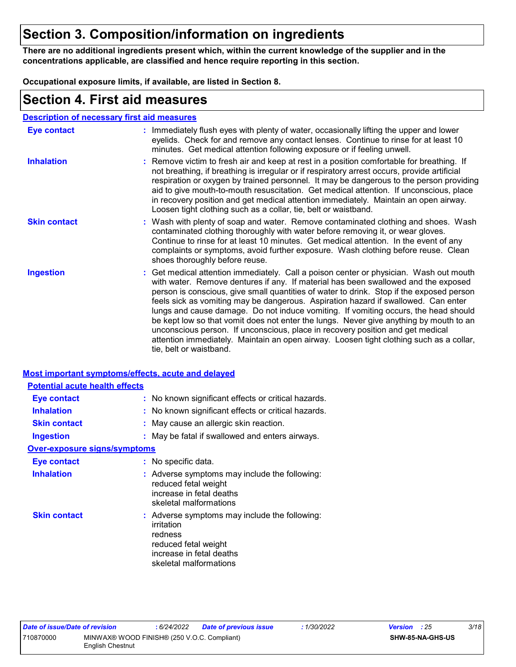### **Section 3. Composition/information on ingredients**

**There are no additional ingredients present which, within the current knowledge of the supplier and in the concentrations applicable, are classified and hence require reporting in this section.**

**Occupational exposure limits, if available, are listed in Section 8.**

### **Section 4. First aid measures**

| <b>Description of necessary first aid measures</b> |                                                                                                                                                                                                                                                                                                                                                                                                                                                                                                                                                                                                                                                                                                                                                         |
|----------------------------------------------------|---------------------------------------------------------------------------------------------------------------------------------------------------------------------------------------------------------------------------------------------------------------------------------------------------------------------------------------------------------------------------------------------------------------------------------------------------------------------------------------------------------------------------------------------------------------------------------------------------------------------------------------------------------------------------------------------------------------------------------------------------------|
| <b>Eye contact</b>                                 | : Immediately flush eyes with plenty of water, occasionally lifting the upper and lower<br>eyelids. Check for and remove any contact lenses. Continue to rinse for at least 10<br>minutes. Get medical attention following exposure or if feeling unwell.                                                                                                                                                                                                                                                                                                                                                                                                                                                                                               |
| <b>Inhalation</b>                                  | : Remove victim to fresh air and keep at rest in a position comfortable for breathing. If<br>not breathing, if breathing is irregular or if respiratory arrest occurs, provide artificial<br>respiration or oxygen by trained personnel. It may be dangerous to the person providing<br>aid to give mouth-to-mouth resuscitation. Get medical attention. If unconscious, place<br>in recovery position and get medical attention immediately. Maintain an open airway.<br>Loosen tight clothing such as a collar, tie, belt or waistband.                                                                                                                                                                                                               |
| <b>Skin contact</b>                                | : Wash with plenty of soap and water. Remove contaminated clothing and shoes. Wash<br>contaminated clothing thoroughly with water before removing it, or wear gloves.<br>Continue to rinse for at least 10 minutes. Get medical attention. In the event of any<br>complaints or symptoms, avoid further exposure. Wash clothing before reuse. Clean<br>shoes thoroughly before reuse.                                                                                                                                                                                                                                                                                                                                                                   |
| <b>Ingestion</b>                                   | : Get medical attention immediately. Call a poison center or physician. Wash out mouth<br>with water. Remove dentures if any. If material has been swallowed and the exposed<br>person is conscious, give small quantities of water to drink. Stop if the exposed person<br>feels sick as vomiting may be dangerous. Aspiration hazard if swallowed. Can enter<br>lungs and cause damage. Do not induce vomiting. If vomiting occurs, the head should<br>be kept low so that vomit does not enter the lungs. Never give anything by mouth to an<br>unconscious person. If unconscious, place in recovery position and get medical<br>attention immediately. Maintain an open airway. Loosen tight clothing such as a collar,<br>tie, belt or waistband. |

#### **Most important symptoms/effects, acute and delayed**

| : No known significant effects or critical hazards.                                                                                                  |
|------------------------------------------------------------------------------------------------------------------------------------------------------|
| : No known significant effects or critical hazards.                                                                                                  |
| : May cause an allergic skin reaction.                                                                                                               |
| : May be fatal if swallowed and enters airways.                                                                                                      |
| <b>Over-exposure signs/symptoms</b>                                                                                                                  |
| : No specific data.                                                                                                                                  |
| : Adverse symptoms may include the following:<br>reduced fetal weight<br>increase in fetal deaths<br>skeletal malformations                          |
| : Adverse symptoms may include the following:<br>irritation<br>redness<br>reduced fetal weight<br>increase in fetal deaths<br>skeletal malformations |
|                                                                                                                                                      |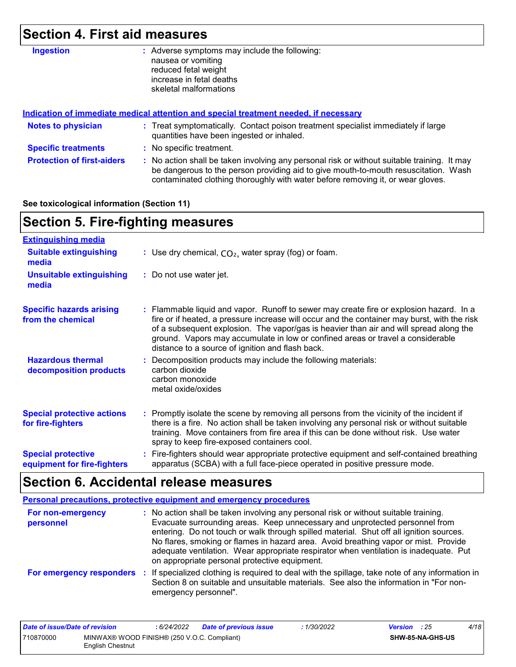## **Section 4. First aid measures**

| <b>Ingestion</b>                  | Adverse symptoms may include the following:<br>nausea or vomiting<br>reduced fetal weight<br>increase in fetal deaths<br>skeletal malformations                                                                                                                       |  |  |
|-----------------------------------|-----------------------------------------------------------------------------------------------------------------------------------------------------------------------------------------------------------------------------------------------------------------------|--|--|
|                                   | Indication of immediate medical attention and special treatment needed, if necessary                                                                                                                                                                                  |  |  |
| <b>Notes to physician</b>         | : Treat symptomatically. Contact poison treatment specialist immediately if large<br>quantities have been ingested or inhaled.                                                                                                                                        |  |  |
| <b>Specific treatments</b>        | : No specific treatment.                                                                                                                                                                                                                                              |  |  |
| <b>Protection of first-aiders</b> | : No action shall be taken involving any personal risk or without suitable training. It may<br>be dangerous to the person providing aid to give mouth-to-mouth resuscitation. Wash<br>contaminated clothing thoroughly with water before removing it, or wear gloves. |  |  |

#### **See toxicological information (Section 11)**

### **Section 5. Fire-fighting measures**

| <b>Extinguishing media</b>                               |                                                                                                                                                                                                                                                                                                                                                                                                                          |
|----------------------------------------------------------|--------------------------------------------------------------------------------------------------------------------------------------------------------------------------------------------------------------------------------------------------------------------------------------------------------------------------------------------------------------------------------------------------------------------------|
| <b>Suitable extinguishing</b><br>media                   | : Use dry chemical, $CO2$ , water spray (fog) or foam.                                                                                                                                                                                                                                                                                                                                                                   |
| <b>Unsuitable extinguishing</b><br>media                 | : Do not use water jet.                                                                                                                                                                                                                                                                                                                                                                                                  |
| <b>Specific hazards arising</b><br>from the chemical     | : Flammable liquid and vapor. Runoff to sewer may create fire or explosion hazard. In a<br>fire or if heated, a pressure increase will occur and the container may burst, with the risk<br>of a subsequent explosion. The vapor/gas is heavier than air and will spread along the<br>ground. Vapors may accumulate in low or confined areas or travel a considerable<br>distance to a source of ignition and flash back. |
| <b>Hazardous thermal</b><br>decomposition products       | : Decomposition products may include the following materials:<br>carbon dioxide<br>carbon monoxide<br>metal oxide/oxides                                                                                                                                                                                                                                                                                                 |
| <b>Special protective actions</b><br>for fire-fighters   | : Promptly isolate the scene by removing all persons from the vicinity of the incident if<br>there is a fire. No action shall be taken involving any personal risk or without suitable<br>training. Move containers from fire area if this can be done without risk. Use water<br>spray to keep fire-exposed containers cool.                                                                                            |
| <b>Special protective</b><br>equipment for fire-fighters | : Fire-fighters should wear appropriate protective equipment and self-contained breathing<br>apparatus (SCBA) with a full face-piece operated in positive pressure mode.                                                                                                                                                                                                                                                 |

### **Section 6. Accidental release measures**

|                                | Personal precautions, protective equipment and emergency procedures                                                                                                                                                                                                                                                                                                                                                                                                                             |
|--------------------------------|-------------------------------------------------------------------------------------------------------------------------------------------------------------------------------------------------------------------------------------------------------------------------------------------------------------------------------------------------------------------------------------------------------------------------------------------------------------------------------------------------|
| For non-emergency<br>personnel | : No action shall be taken involving any personal risk or without suitable training.<br>Evacuate surrounding areas. Keep unnecessary and unprotected personnel from<br>entering. Do not touch or walk through spilled material. Shut off all ignition sources.<br>No flares, smoking or flames in hazard area. Avoid breathing vapor or mist. Provide<br>adequate ventilation. Wear appropriate respirator when ventilation is inadequate. Put<br>on appropriate personal protective equipment. |
| For emergency responders       | : If specialized clothing is required to deal with the spillage, take note of any information in<br>Section 8 on suitable and unsuitable materials. See also the information in "For non-<br>emergency personnel".                                                                                                                                                                                                                                                                              |

| Date of issue/Date of revision |                                                                 | 6/24/2022 | <b>Date of previous issue</b> | : 1/30/2022      | <b>Version</b> : 25 | 4/18 |
|--------------------------------|-----------------------------------------------------------------|-----------|-------------------------------|------------------|---------------------|------|
| 710870000                      | MINWAX® WOOD FINISH® (250 V.O.C. Compliant)<br>English Chestnut |           |                               | SHW-85-NA-GHS-US |                     |      |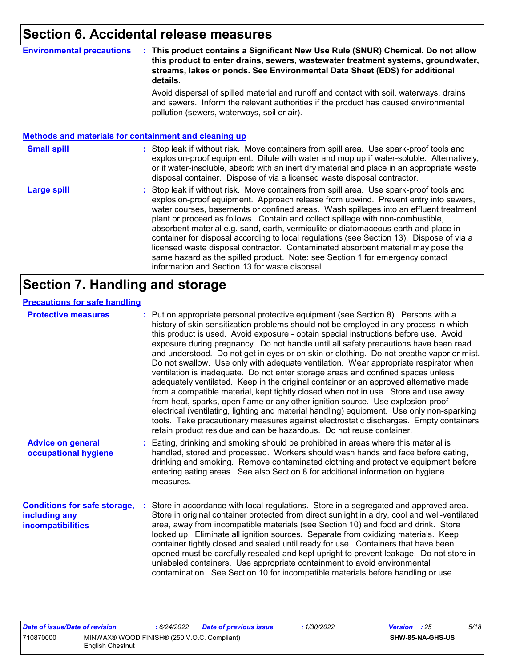### **Section 6. Accidental release measures**

#### **Environmental precautions : This product contains a Significant New Use Rule (SNUR) Chemical. Do not allow this product to enter drains, sewers, wastewater treatment systems, groundwater, streams, lakes or ponds. See Environmental Data Sheet (EDS) for additional details.**

Avoid dispersal of spilled material and runoff and contact with soil, waterways, drains and sewers. Inform the relevant authorities if the product has caused environmental pollution (sewers, waterways, soil or air).

|                    | <b>Methods and materials for containment and cleaning up</b>                                                                                                                                                                                                                                                                                                                                                                                                                                                                                                                                                                                                                                                                                                         |
|--------------------|----------------------------------------------------------------------------------------------------------------------------------------------------------------------------------------------------------------------------------------------------------------------------------------------------------------------------------------------------------------------------------------------------------------------------------------------------------------------------------------------------------------------------------------------------------------------------------------------------------------------------------------------------------------------------------------------------------------------------------------------------------------------|
| <b>Small spill</b> | : Stop leak if without risk. Move containers from spill area. Use spark-proof tools and<br>explosion-proof equipment. Dilute with water and mop up if water-soluble. Alternatively,<br>or if water-insoluble, absorb with an inert dry material and place in an appropriate waste<br>disposal container. Dispose of via a licensed waste disposal contractor.                                                                                                                                                                                                                                                                                                                                                                                                        |
| <b>Large spill</b> | : Stop leak if without risk. Move containers from spill area. Use spark-proof tools and<br>explosion-proof equipment. Approach release from upwind. Prevent entry into sewers,<br>water courses, basements or confined areas. Wash spillages into an effluent treatment<br>plant or proceed as follows. Contain and collect spillage with non-combustible,<br>absorbent material e.g. sand, earth, vermiculite or diatomaceous earth and place in<br>container for disposal according to local regulations (see Section 13). Dispose of via a<br>licensed waste disposal contractor. Contaminated absorbent material may pose the<br>same hazard as the spilled product. Note: see Section 1 for emergency contact<br>information and Section 13 for waste disposal. |

### **Section 7. Handling and storage**

#### **Precautions for safe handling**

| <b>Protective measures</b>                                                | : Put on appropriate personal protective equipment (see Section 8). Persons with a<br>history of skin sensitization problems should not be employed in any process in which<br>this product is used. Avoid exposure - obtain special instructions before use. Avoid<br>exposure during pregnancy. Do not handle until all safety precautions have been read<br>and understood. Do not get in eyes or on skin or clothing. Do not breathe vapor or mist.<br>Do not swallow. Use only with adequate ventilation. Wear appropriate respirator when<br>ventilation is inadequate. Do not enter storage areas and confined spaces unless<br>adequately ventilated. Keep in the original container or an approved alternative made<br>from a compatible material, kept tightly closed when not in use. Store and use away<br>from heat, sparks, open flame or any other ignition source. Use explosion-proof<br>electrical (ventilating, lighting and material handling) equipment. Use only non-sparking<br>tools. Take precautionary measures against electrostatic discharges. Empty containers<br>retain product residue and can be hazardous. Do not reuse container. |
|---------------------------------------------------------------------------|----------------------------------------------------------------------------------------------------------------------------------------------------------------------------------------------------------------------------------------------------------------------------------------------------------------------------------------------------------------------------------------------------------------------------------------------------------------------------------------------------------------------------------------------------------------------------------------------------------------------------------------------------------------------------------------------------------------------------------------------------------------------------------------------------------------------------------------------------------------------------------------------------------------------------------------------------------------------------------------------------------------------------------------------------------------------------------------------------------------------------------------------------------------------|
| <b>Advice on general</b><br>occupational hygiene                          | Eating, drinking and smoking should be prohibited in areas where this material is<br>handled, stored and processed. Workers should wash hands and face before eating,<br>drinking and smoking. Remove contaminated clothing and protective equipment before<br>entering eating areas. See also Section 8 for additional information on hygiene<br>measures.                                                                                                                                                                                                                                                                                                                                                                                                                                                                                                                                                                                                                                                                                                                                                                                                          |
| <b>Conditions for safe storage,</b><br>including any<br>incompatibilities | Store in accordance with local regulations. Store in a segregated and approved area.<br>Store in original container protected from direct sunlight in a dry, cool and well-ventilated<br>area, away from incompatible materials (see Section 10) and food and drink. Store<br>locked up. Eliminate all ignition sources. Separate from oxidizing materials. Keep<br>container tightly closed and sealed until ready for use. Containers that have been<br>opened must be carefully resealed and kept upright to prevent leakage. Do not store in<br>unlabeled containers. Use appropriate containment to avoid environmental<br>contamination. See Section 10 for incompatible materials before handling or use.                                                                                                                                                                                                                                                                                                                                                                                                                                                     |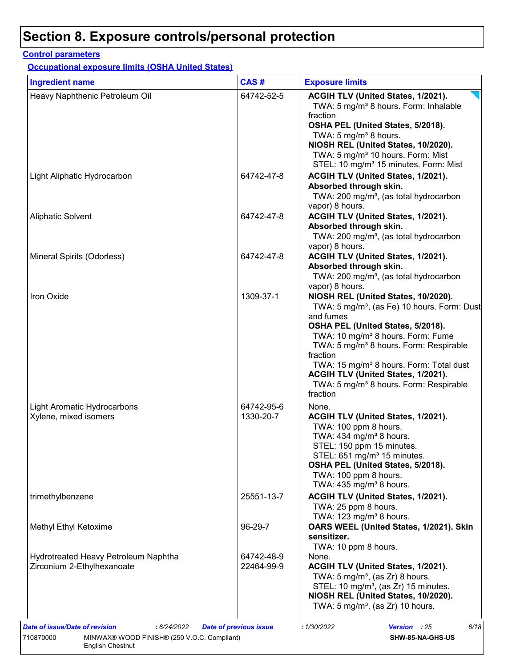### **Control parameters**

**Occupational exposure limits (OSHA United States)**

| <b>Ingredient name</b>                                             | CAS#                     | <b>Exposure limits</b>                                                                                                                                                                                                                                                                                                                                                                                                             |
|--------------------------------------------------------------------|--------------------------|------------------------------------------------------------------------------------------------------------------------------------------------------------------------------------------------------------------------------------------------------------------------------------------------------------------------------------------------------------------------------------------------------------------------------------|
| Heavy Naphthenic Petroleum Oil                                     | 64742-52-5               | ACGIH TLV (United States, 1/2021).<br>TWA: 5 mg/m <sup>3</sup> 8 hours. Form: Inhalable<br>fraction<br>OSHA PEL (United States, 5/2018).<br>TWA: 5 mg/m <sup>3</sup> 8 hours.<br>NIOSH REL (United States, 10/2020).<br>TWA: 5 mg/m <sup>3</sup> 10 hours. Form: Mist                                                                                                                                                              |
| Light Aliphatic Hydrocarbon                                        | 64742-47-8               | STEL: 10 mg/m <sup>3</sup> 15 minutes. Form: Mist<br>ACGIH TLV (United States, 1/2021).<br>Absorbed through skin.<br>TWA: 200 mg/m <sup>3</sup> , (as total hydrocarbon                                                                                                                                                                                                                                                            |
| <b>Aliphatic Solvent</b>                                           | 64742-47-8               | vapor) 8 hours.<br>ACGIH TLV (United States, 1/2021).<br>Absorbed through skin.<br>TWA: 200 mg/m <sup>3</sup> , (as total hydrocarbon<br>vapor) 8 hours.                                                                                                                                                                                                                                                                           |
| Mineral Spirits (Odorless)                                         | 64742-47-8               | ACGIH TLV (United States, 1/2021).<br>Absorbed through skin.<br>TWA: 200 mg/m <sup>3</sup> , (as total hydrocarbon<br>vapor) 8 hours.                                                                                                                                                                                                                                                                                              |
| Iron Oxide                                                         | 1309-37-1                | NIOSH REL (United States, 10/2020).<br>TWA: 5 mg/m <sup>3</sup> , (as Fe) 10 hours. Form: Dust<br>and fumes<br>OSHA PEL (United States, 5/2018).<br>TWA: 10 mg/m <sup>3</sup> 8 hours. Form: Fume<br>TWA: 5 mg/m <sup>3</sup> 8 hours. Form: Respirable<br>fraction<br>TWA: 15 mg/m <sup>3</sup> 8 hours. Form: Total dust<br>ACGIH TLV (United States, 1/2021).<br>TWA: 5 mg/m <sup>3</sup> 8 hours. Form: Respirable<br>fraction |
| Light Aromatic Hydrocarbons<br>Xylene, mixed isomers               | 64742-95-6<br>1330-20-7  | None.<br>ACGIH TLV (United States, 1/2021).<br>TWA: 100 ppm 8 hours.<br>TWA: $434$ mg/m <sup>3</sup> 8 hours.<br>STEL: 150 ppm 15 minutes.<br>STEL: $651 \text{ mg/m}^3$ 15 minutes.<br>OSHA PEL (United States, 5/2018).<br>TWA: 100 ppm 8 hours.<br>TWA: $435 \text{ mg/m}^3$ 8 hours.                                                                                                                                           |
| trimethylbenzene                                                   | 25551-13-7               | ACGIH TLV (United States, 1/2021).<br>TWA: 25 ppm 8 hours.<br>TWA: 123 mg/m <sup>3</sup> 8 hours.                                                                                                                                                                                                                                                                                                                                  |
| Methyl Ethyl Ketoxime                                              | 96-29-7                  | OARS WEEL (United States, 1/2021). Skin<br>sensitizer.<br>TWA: 10 ppm 8 hours.                                                                                                                                                                                                                                                                                                                                                     |
| Hydrotreated Heavy Petroleum Naphtha<br>Zirconium 2-Ethylhexanoate | 64742-48-9<br>22464-99-9 | None.<br>ACGIH TLV (United States, 1/2021).<br>TWA: 5 mg/m <sup>3</sup> , (as Zr) 8 hours.<br>STEL: 10 mg/m <sup>3</sup> , (as Zr) 15 minutes.<br>NIOSH REL (United States, 10/2020).<br>TWA: 5 mg/m <sup>3</sup> , (as Zr) 10 hours.                                                                                                                                                                                              |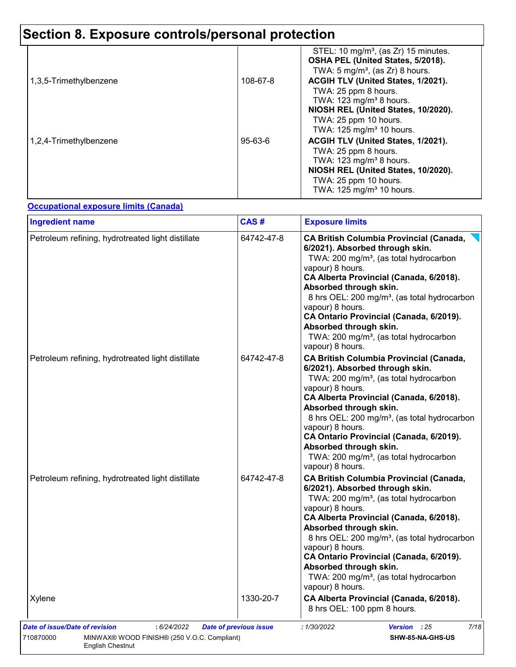| 1,3,5-Trimethylbenzene | 108-67-8      | STEL: 10 mg/m <sup>3</sup> , (as $Zr$ ) 15 minutes.<br>OSHA PEL (United States, 5/2018).<br>TWA: 5 mg/m <sup>3</sup> , (as Zr) 8 hours.<br>ACGIH TLV (United States, 1/2021). |
|------------------------|---------------|-------------------------------------------------------------------------------------------------------------------------------------------------------------------------------|
|                        |               | TWA: 25 ppm 8 hours.<br>TWA: $123 \text{ mg/m}^3$ 8 hours.<br>NIOSH REL (United States, 10/2020).                                                                             |
| 1,2,4-Trimethylbenzene | $95 - 63 - 6$ | TWA: 25 ppm 10 hours.<br>TWA: 125 mg/m <sup>3</sup> 10 hours.<br>ACGIH TLV (United States, 1/2021).                                                                           |
|                        |               | TWA: 25 ppm 8 hours.<br>TWA: 123 mg/m <sup>3</sup> 8 hours.<br>NIOSH REL (United States, 10/2020).<br>TWA: 25 ppm 10 hours.<br>TWA: 125 mg/m <sup>3</sup> 10 hours.           |

#### **Occupational exposure limits (Canada)**

| <b>Ingredient name</b>                            | CAS#       | <b>Exposure limits</b>                                                                                                                                                                                                                                                                                                                                                                                                                                          |
|---------------------------------------------------|------------|-----------------------------------------------------------------------------------------------------------------------------------------------------------------------------------------------------------------------------------------------------------------------------------------------------------------------------------------------------------------------------------------------------------------------------------------------------------------|
| Petroleum refining, hydrotreated light distillate | 64742-47-8 | <b>CA British Columbia Provincial (Canada,</b><br>6/2021). Absorbed through skin.<br>TWA: 200 mg/m <sup>3</sup> , (as total hydrocarbon<br>vapour) 8 hours.<br>CA Alberta Provincial (Canada, 6/2018).<br>Absorbed through skin.<br>8 hrs OEL: 200 mg/m <sup>3</sup> , (as total hydrocarbon<br>vapour) 8 hours.<br>CA Ontario Provincial (Canada, 6/2019).<br>Absorbed through skin.<br>TWA: 200 mg/m <sup>3</sup> , (as total hydrocarbon<br>vapour) 8 hours. |
| Petroleum refining, hydrotreated light distillate | 64742-47-8 | <b>CA British Columbia Provincial (Canada,</b><br>6/2021). Absorbed through skin.<br>TWA: 200 mg/m <sup>3</sup> , (as total hydrocarbon<br>vapour) 8 hours.<br>CA Alberta Provincial (Canada, 6/2018).<br>Absorbed through skin.<br>8 hrs OEL: 200 mg/m <sup>3</sup> , (as total hydrocarbon<br>vapour) 8 hours.<br>CA Ontario Provincial (Canada, 6/2019).<br>Absorbed through skin.<br>TWA: 200 mg/m <sup>3</sup> , (as total hydrocarbon<br>vapour) 8 hours. |
| Petroleum refining, hydrotreated light distillate | 64742-47-8 | <b>CA British Columbia Provincial (Canada,</b><br>6/2021). Absorbed through skin.<br>TWA: 200 mg/m <sup>3</sup> , (as total hydrocarbon<br>vapour) 8 hours.<br>CA Alberta Provincial (Canada, 6/2018).<br>Absorbed through skin.<br>8 hrs OEL: 200 mg/m <sup>3</sup> , (as total hydrocarbon<br>vapour) 8 hours.<br>CA Ontario Provincial (Canada, 6/2019).<br>Absorbed through skin.<br>TWA: 200 mg/m <sup>3</sup> , (as total hydrocarbon<br>vapour) 8 hours. |
| Xylene                                            | 1330-20-7  | CA Alberta Provincial (Canada, 6/2018).<br>8 hrs OEL: 100 ppm 8 hours.                                                                                                                                                                                                                                                                                                                                                                                          |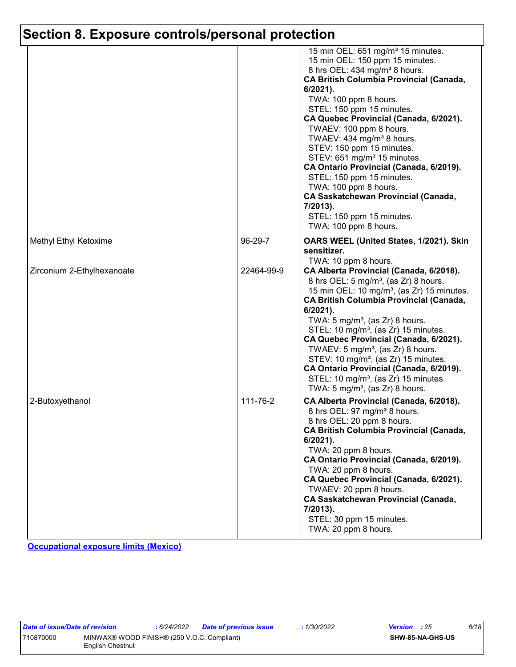|                            |            | 15 min OEL: 651 mg/m <sup>3</sup> 15 minutes.<br>15 min OEL: 150 ppm 15 minutes.<br>8 hrs OEL: 434 mg/m <sup>3</sup> 8 hours.<br>CA British Columbia Provincial (Canada,<br>$6/2021$ ).<br>TWA: 100 ppm 8 hours.<br>STEL: 150 ppm 15 minutes.<br>CA Quebec Provincial (Canada, 6/2021).<br>TWAEV: 100 ppm 8 hours.<br>TWAEV: 434 mg/m <sup>3</sup> 8 hours.<br>STEV: 150 ppm 15 minutes.<br>STEV: 651 mg/m <sup>3</sup> 15 minutes.<br>CA Ontario Provincial (Canada, 6/2019).<br>STEL: 150 ppm 15 minutes.<br>TWA: 100 ppm 8 hours.<br><b>CA Saskatchewan Provincial (Canada,</b><br>7/2013).<br>STEL: 150 ppm 15 minutes.<br>TWA: 100 ppm 8 hours. |
|----------------------------|------------|------------------------------------------------------------------------------------------------------------------------------------------------------------------------------------------------------------------------------------------------------------------------------------------------------------------------------------------------------------------------------------------------------------------------------------------------------------------------------------------------------------------------------------------------------------------------------------------------------------------------------------------------------|
| Methyl Ethyl Ketoxime      | 96-29-7    | OARS WEEL (United States, 1/2021). Skin<br>sensitizer.<br>TWA: 10 ppm 8 hours.                                                                                                                                                                                                                                                                                                                                                                                                                                                                                                                                                                       |
| Zirconium 2-Ethylhexanoate | 22464-99-9 | CA Alberta Provincial (Canada, 6/2018).<br>8 hrs OEL: 5 mg/m <sup>3</sup> , (as Zr) 8 hours.<br>15 min OEL: 10 mg/m <sup>3</sup> , (as Zr) 15 minutes.<br><b>CA British Columbia Provincial (Canada,</b><br>$6/2021$ ).<br>TWA: $5 \text{ mg/m}^3$ , (as Zr) 8 hours.<br>STEL: 10 mg/m <sup>3</sup> , (as Zr) 15 minutes.<br>CA Quebec Provincial (Canada, 6/2021).<br>TWAEV: $5 \text{ mg/m}^3$ , (as Zr) 8 hours.<br>STEV: 10 mg/m <sup>3</sup> , (as Zr) 15 minutes.<br>CA Ontario Provincial (Canada, 6/2019).<br>STEL: 10 mg/m <sup>3</sup> , (as Zr) 15 minutes.<br>TWA: $5 \text{ mg/m}^3$ , (as Zr) 8 hours.                                 |
| 2-Butoxyethanol            | 111-76-2   | CA Alberta Provincial (Canada, 6/2018).<br>8 hrs OEL: 97 mg/m <sup>3</sup> 8 hours.<br>8 hrs OEL: 20 ppm 8 hours.<br>CA British Columbia Provincial (Canada,<br>$6/2021$ ).<br>TWA: 20 ppm 8 hours.<br>CA Ontario Provincial (Canada, 6/2019).<br>TWA: 20 ppm 8 hours.<br>CA Quebec Provincial (Canada, 6/2021).<br>TWAEV: 20 ppm 8 hours.<br><b>CA Saskatchewan Provincial (Canada,</b><br>7/2013).<br>STEL: 30 ppm 15 minutes.<br>TWA: 20 ppm 8 hours.                                                                                                                                                                                             |

**Occupational exposure limits (Mexico)**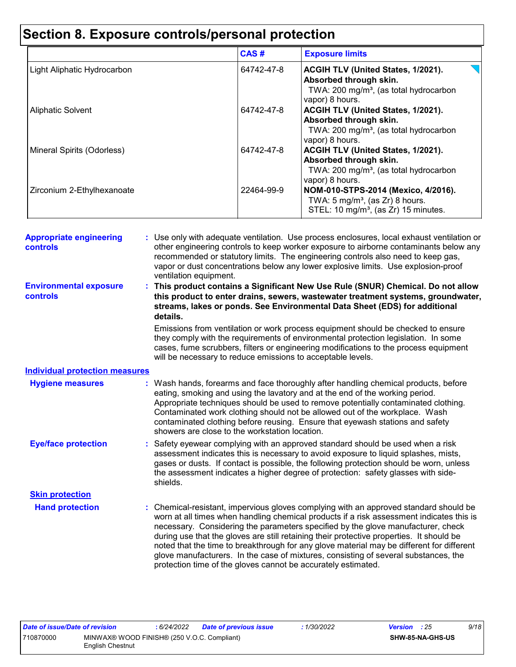|                             | CAS#       | <b>Exposure limits</b>                                                                                                                |
|-----------------------------|------------|---------------------------------------------------------------------------------------------------------------------------------------|
| Light Aliphatic Hydrocarbon | 64742-47-8 | ACGIH TLV (United States, 1/2021).<br>Absorbed through skin.<br>TWA: 200 mg/m <sup>3</sup> , (as total hydrocarbon<br>vapor) 8 hours. |
| <b>Aliphatic Solvent</b>    | 64742-47-8 | ACGIH TLV (United States, 1/2021).<br>Absorbed through skin.<br>TWA: 200 mg/m <sup>3</sup> , (as total hydrocarbon<br>vapor) 8 hours. |
| Mineral Spirits (Odorless)  | 64742-47-8 | ACGIH TLV (United States, 1/2021).<br>Absorbed through skin.<br>TWA: 200 mg/m <sup>3</sup> , (as total hydrocarbon<br>vapor) 8 hours. |
| Zirconium 2-Ethylhexanoate  | 22464-99-9 | NOM-010-STPS-2014 (Mexico, 4/2016).<br>TWA: $5 \text{ mg/m}^3$ , (as Zr) 8 hours.<br>STEL: 10 mg/m <sup>3</sup> , (as Zr) 15 minutes. |

| <b>Appropriate engineering</b><br>controls | : Use only with adequate ventilation. Use process enclosures, local exhaust ventilation or<br>other engineering controls to keep worker exposure to airborne contaminants below any<br>recommended or statutory limits. The engineering controls also need to keep gas,<br>vapor or dust concentrations below any lower explosive limits. Use explosion-proof<br>ventilation equipment.                                                                                                                                                                                                                                |
|--------------------------------------------|------------------------------------------------------------------------------------------------------------------------------------------------------------------------------------------------------------------------------------------------------------------------------------------------------------------------------------------------------------------------------------------------------------------------------------------------------------------------------------------------------------------------------------------------------------------------------------------------------------------------|
| <b>Environmental exposure</b><br>controls  | This product contains a Significant New Use Rule (SNUR) Chemical. Do not allow<br>this product to enter drains, sewers, wastewater treatment systems, groundwater,<br>streams, lakes or ponds. See Environmental Data Sheet (EDS) for additional<br>details.                                                                                                                                                                                                                                                                                                                                                           |
|                                            | Emissions from ventilation or work process equipment should be checked to ensure<br>they comply with the requirements of environmental protection legislation. In some<br>cases, fume scrubbers, filters or engineering modifications to the process equipment<br>will be necessary to reduce emissions to acceptable levels.                                                                                                                                                                                                                                                                                          |
| <b>Individual protection measures</b>      |                                                                                                                                                                                                                                                                                                                                                                                                                                                                                                                                                                                                                        |
| <b>Hygiene measures</b>                    | Wash hands, forearms and face thoroughly after handling chemical products, before<br>eating, smoking and using the lavatory and at the end of the working period.<br>Appropriate techniques should be used to remove potentially contaminated clothing.<br>Contaminated work clothing should not be allowed out of the workplace. Wash<br>contaminated clothing before reusing. Ensure that eyewash stations and safety<br>showers are close to the workstation location.                                                                                                                                              |
| <b>Eye/face protection</b>                 | Safety eyewear complying with an approved standard should be used when a risk<br>assessment indicates this is necessary to avoid exposure to liquid splashes, mists,<br>gases or dusts. If contact is possible, the following protection should be worn, unless<br>the assessment indicates a higher degree of protection: safety glasses with side-<br>shields.                                                                                                                                                                                                                                                       |
| <b>Skin protection</b>                     |                                                                                                                                                                                                                                                                                                                                                                                                                                                                                                                                                                                                                        |
| <b>Hand protection</b>                     | : Chemical-resistant, impervious gloves complying with an approved standard should be<br>worn at all times when handling chemical products if a risk assessment indicates this is<br>necessary. Considering the parameters specified by the glove manufacturer, check<br>during use that the gloves are still retaining their protective properties. It should be<br>noted that the time to breakthrough for any glove material may be different for different<br>glove manufacturers. In the case of mixtures, consisting of several substances, the<br>protection time of the gloves cannot be accurately estimated. |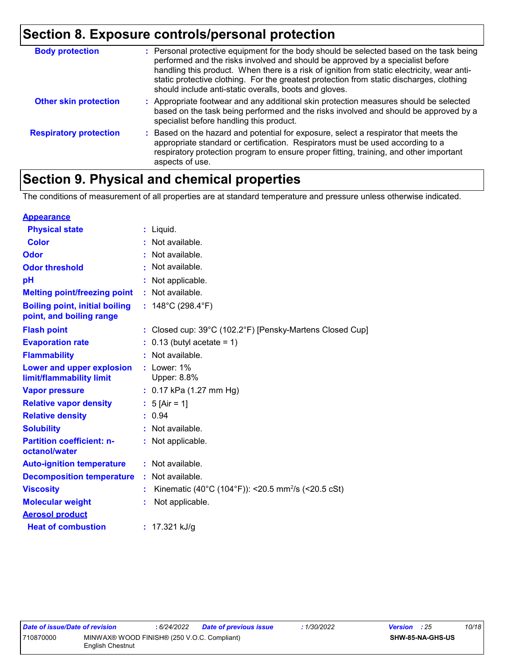| <b>Body protection</b>        | : Personal protective equipment for the body should be selected based on the task being<br>performed and the risks involved and should be approved by a specialist before<br>handling this product. When there is a risk of ignition from static electricity, wear anti-<br>static protective clothing. For the greatest protection from static discharges, clothing<br>should include anti-static overalls, boots and gloves. |
|-------------------------------|--------------------------------------------------------------------------------------------------------------------------------------------------------------------------------------------------------------------------------------------------------------------------------------------------------------------------------------------------------------------------------------------------------------------------------|
| <b>Other skin protection</b>  | : Appropriate footwear and any additional skin protection measures should be selected<br>based on the task being performed and the risks involved and should be approved by a<br>specialist before handling this product.                                                                                                                                                                                                      |
| <b>Respiratory protection</b> | : Based on the hazard and potential for exposure, select a respirator that meets the<br>appropriate standard or certification. Respirators must be used according to a<br>respiratory protection program to ensure proper fitting, training, and other important<br>aspects of use.                                                                                                                                            |

### **Section 9. Physical and chemical properties**

The conditions of measurement of all properties are at standard temperature and pressure unless otherwise indicated.

| <b>Appearance</b>                                                 |                                                                |
|-------------------------------------------------------------------|----------------------------------------------------------------|
| <b>Physical state</b>                                             | $:$ Liquid.                                                    |
| <b>Color</b>                                                      | Not available.                                                 |
| Odor                                                              | : Not available.                                               |
| <b>Odor threshold</b>                                             | Not available.                                                 |
| рH                                                                | Not applicable.                                                |
| <b>Melting point/freezing point</b>                               | : Not available.                                               |
| <b>Boiling point, initial boiling</b><br>point, and boiling range | : $148^{\circ}$ C (298.4 $^{\circ}$ F)                         |
| <b>Flash point</b>                                                | : Closed cup: 39°C (102.2°F) [Pensky-Martens Closed Cup]       |
| <b>Evaporation rate</b>                                           | $0.13$ (butyl acetate = 1)                                     |
| <b>Flammability</b>                                               | Not available.                                                 |
| Lower and upper explosion<br>limit/flammability limit             | $:$ Lower: $1\%$<br>Upper: 8.8%                                |
| <b>Vapor pressure</b>                                             | : $0.17$ kPa (1.27 mm Hg)                                      |
| <b>Relative vapor density</b>                                     | : $5$ [Air = 1]                                                |
| <b>Relative density</b>                                           | : 0.94                                                         |
| <b>Solubility</b>                                                 | Not available.                                                 |
| <b>Partition coefficient: n-</b><br>octanol/water                 | : Not applicable.                                              |
| <b>Auto-ignition temperature</b>                                  | : Not available.                                               |
| <b>Decomposition temperature</b>                                  | : Not available.                                               |
| <b>Viscosity</b>                                                  | Kinematic (40°C (104°F)): <20.5 mm <sup>2</sup> /s (<20.5 cSt) |
| <b>Molecular weight</b>                                           | Not applicable.                                                |
| <b>Aerosol product</b>                                            |                                                                |
| <b>Heat of combustion</b>                                         | : $17.321$ kJ/g                                                |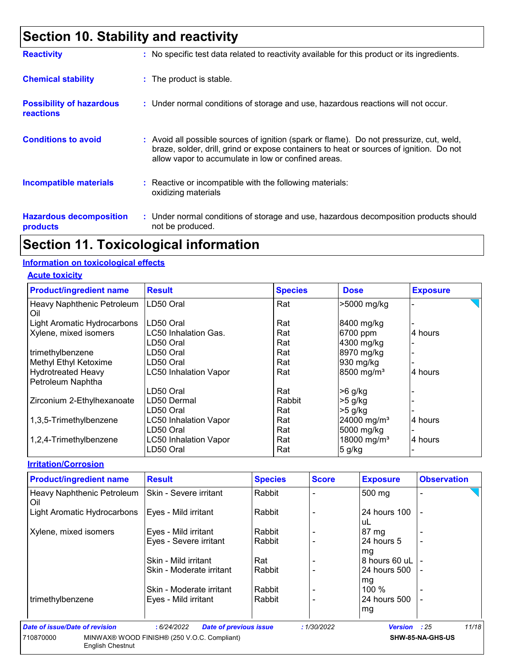### **Section 10. Stability and reactivity**

| <b>Reactivity</b>                                   | : No specific test data related to reactivity available for this product or its ingredients.                                                                                                                                               |
|-----------------------------------------------------|--------------------------------------------------------------------------------------------------------------------------------------------------------------------------------------------------------------------------------------------|
| <b>Chemical stability</b>                           | : The product is stable.                                                                                                                                                                                                                   |
| <b>Possibility of hazardous</b><br><b>reactions</b> | : Under normal conditions of storage and use, hazardous reactions will not occur.                                                                                                                                                          |
| <b>Conditions to avoid</b>                          | : Avoid all possible sources of ignition (spark or flame). Do not pressurize, cut, weld,<br>braze, solder, drill, grind or expose containers to heat or sources of ignition. Do not<br>allow vapor to accumulate in low or confined areas. |
| <b>Incompatible materials</b>                       | $\therefore$ Reactive or incompatible with the following materials:<br>oxidizing materials                                                                                                                                                 |
| <b>Hazardous decomposition</b><br>products          | : Under normal conditions of storage and use, hazardous decomposition products should<br>not be produced.                                                                                                                                  |

### **Section 11. Toxicological information**

#### **Information on toxicological effects**

**Acute toxicity**

| <b>Product/ingredient name</b>    | <b>Result</b>                | <b>Species</b> | <b>Dose</b>             | <b>Exposure</b> |
|-----------------------------------|------------------------------|----------------|-------------------------|-----------------|
| Heavy Naphthenic Petroleum<br>Oil | LD50 Oral                    | Rat            | >5000 mg/kg             |                 |
| Light Aromatic Hydrocarbons       | LD50 Oral                    | Rat            | 8400 mg/kg              |                 |
| Xylene, mixed isomers             | LC50 Inhalation Gas.         | Rat            | 6700 ppm                | 4 hours         |
|                                   | LD50 Oral                    | Rat            | 4300 mg/kg              |                 |
| trimethylbenzene                  | LD50 Oral                    | Rat            | 8970 mg/kg              |                 |
| Methyl Ethyl Ketoxime             | LD50 Oral                    | Rat            | 930 mg/kg               |                 |
| <b>Hydrotreated Heavy</b>         | <b>LC50 Inhalation Vapor</b> | Rat            | 8500 mg/m <sup>3</sup>  | 4 hours         |
| Petroleum Naphtha                 |                              |                |                         |                 |
|                                   | LD50 Oral                    | Rat            | $>6$ g/kg               |                 |
| Zirconium 2-Ethylhexanoate        | LD50 Dermal                  | Rabbit         | $>5$ g/kg               |                 |
|                                   | LD50 Oral                    | Rat            | $>5$ g/kg               |                 |
| 1,3,5-Trimethylbenzene            | <b>LC50 Inhalation Vapor</b> | Rat            | 24000 mg/m <sup>3</sup> | 4 hours         |
|                                   | LD50 Oral                    | Rat            | 5000 mg/kg              |                 |
| 1,2,4-Trimethylbenzene            | <b>LC50 Inhalation Vapor</b> | Rat            | 18000 mg/m <sup>3</sup> | 4 hours         |
|                                   | LD50 Oral                    | Rat            | 5 g/kg                  |                 |

#### **Irritation/Corrosion**

| <b>Product/ingredient name</b>       | <b>Result</b>                                | <b>Species</b> | <b>Score</b> | <b>Exposure</b>    | <b>Observation</b> |
|--------------------------------------|----------------------------------------------|----------------|--------------|--------------------|--------------------|
| Heavy Naphthenic Petroleum<br>Oil    | <b>Skin - Severe irritant</b>                | Rabbit         |              | 500 mg             |                    |
| Light Aromatic Hydrocarbons          | Eyes - Mild irritant                         | Rabbit         |              | 24 hours 100<br>uL |                    |
| Xylene, mixed isomers                | Eyes - Mild irritant                         | Rabbit         |              | $87 \text{ mg}$    |                    |
|                                      | Eyes - Severe irritant                       | Rabbit         |              | 24 hours 5<br>mg   |                    |
|                                      | Skin - Mild irritant                         | Rat            |              | 8 hours 60 uL      | $\blacksquare$     |
|                                      | Skin - Moderate irritant                     | Rabbit         |              | 24 hours 500<br>mg |                    |
|                                      | Skin - Moderate irritant                     | Rabbit         |              | 100 %              |                    |
| trimethylbenzene                     | Eyes - Mild irritant                         | Rabbit         |              | 24 hours 500<br>mg |                    |
| Date of issue/Date of revision       | : 6/24/2022<br><b>Date of previous issue</b> |                | :1/30/2022   | Version : 25       | 11/18              |
| 710870000<br><b>English Chestnut</b> | MINWAX® WOOD FINISH® (250 V.O.C. Compliant)  |                |              |                    | SHW-85-NA-GHS-US   |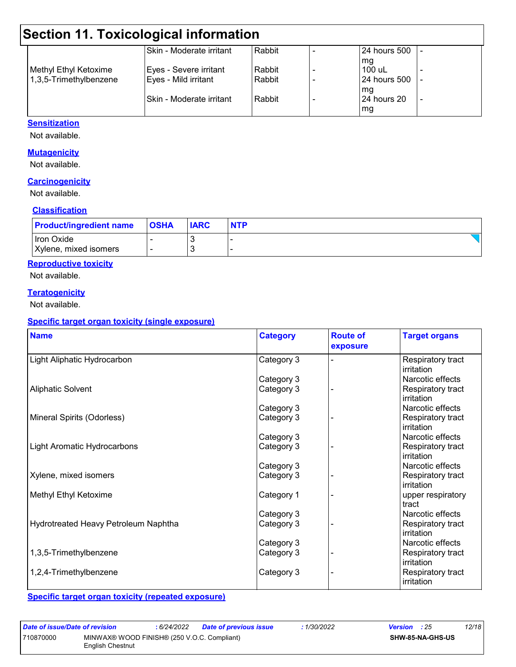### **Section 11. Toxicological information**

| 124 hours 500 | Rabbit | ISkin - Moderate irritant |                        |
|---------------|--------|---------------------------|------------------------|
| mg            |        |                           |                        |
| 100 uL        | Rabbit | Eyes - Severe irritant    | Methyl Ethyl Ketoxime  |
| 124 hours 500 | Rabbit | Eyes - Mild irritant      | 1,3,5-Trimethylbenzene |
| mg            |        |                           |                        |
| 124 hours 20  | Rabbit | ISkin - Moderate irritant |                        |
| mg            |        |                           |                        |
|               |        |                           |                        |

#### **Sensitization**

Not available.

#### **Mutagenicity**

Not available.

#### **Carcinogenicity**

Not available.

#### **Classification**

| <b>Product/ingredient name</b>      | <b>OSHA</b> | <b>IARC</b>   | <b>NTP</b> |
|-------------------------------------|-------------|---------------|------------|
| Iron Oxide<br>Xylene, mixed isomers |             | ົບ<br>г.<br>ت |            |

#### **Reproductive toxicity**

Not available.

#### **Teratogenicity**

Not available.

#### **Specific target organ toxicity (single exposure)**

| <b>Name</b>                          | <b>Category</b> | <b>Route of</b><br>exposure | <b>Target organs</b>            |
|--------------------------------------|-----------------|-----------------------------|---------------------------------|
| Light Aliphatic Hydrocarbon          | Category 3      |                             | Respiratory tract<br>irritation |
|                                      | Category 3      |                             | Narcotic effects                |
| <b>Aliphatic Solvent</b>             | Category 3      |                             | Respiratory tract<br>irritation |
|                                      | Category 3      |                             | Narcotic effects                |
| Mineral Spirits (Odorless)           | Category 3      |                             | Respiratory tract<br>irritation |
|                                      | Category 3      |                             | Narcotic effects                |
| Light Aromatic Hydrocarbons          | Category 3      |                             | Respiratory tract<br>irritation |
|                                      | Category 3      |                             | Narcotic effects                |
| Xylene, mixed isomers                | Category 3      |                             | Respiratory tract<br>irritation |
| Methyl Ethyl Ketoxime                | Category 1      |                             | upper respiratory<br>tract      |
|                                      | Category 3      |                             | Narcotic effects                |
| Hydrotreated Heavy Petroleum Naphtha | Category 3      |                             | Respiratory tract<br>irritation |
|                                      | Category 3      |                             | Narcotic effects                |
| 1,3,5-Trimethylbenzene               | Category 3      |                             | Respiratory tract<br>irritation |
| 1,2,4-Trimethylbenzene               | Category 3      |                             | Respiratory tract<br>irritation |

**Specific target organ toxicity (repeated exposure)**

*Date of issue/Date of revision* **:** *6/24/2022 Date of previous issue : 1/30/2022 Version : 25 12/18* 710870000 MINWAX® WOOD FINISH® (250 V.O.C. Compliant) English Chestnut **SHW-85-NA-GHS-US**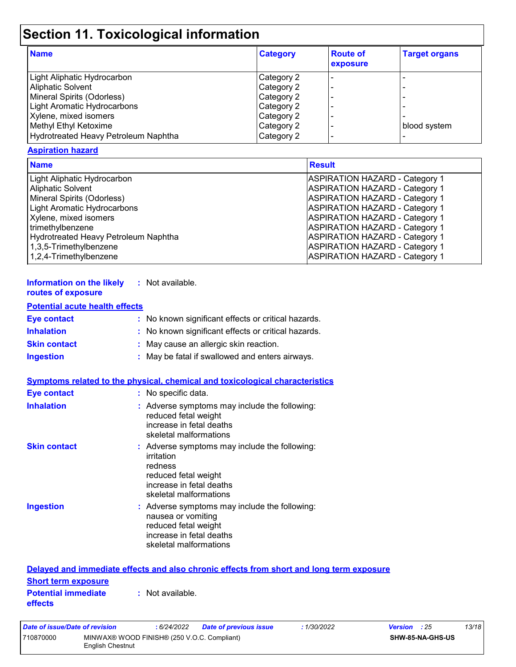## **Section 11. Toxicological information**

| <b>Name</b>                          | <b>Category</b> | <b>Route of</b><br><b>exposure</b> | <b>Target organs</b> |
|--------------------------------------|-----------------|------------------------------------|----------------------|
| Light Aliphatic Hydrocarbon          | Category 2      |                                    |                      |
| <b>Aliphatic Solvent</b>             | Category 2      |                                    |                      |
| Mineral Spirits (Odorless)           | Category 2      |                                    |                      |
| Light Aromatic Hydrocarbons          | Category 2      |                                    |                      |
| Xylene, mixed isomers                | Category 2      |                                    |                      |
| Methyl Ethyl Ketoxime                | Category 2      |                                    | blood system         |
| Hydrotreated Heavy Petroleum Naphtha | Category 2      |                                    |                      |

#### **Aspiration hazard**

| <b>Name</b>                          | <b>Result</b>                         |
|--------------------------------------|---------------------------------------|
| Light Aliphatic Hydrocarbon          | <b>ASPIRATION HAZARD - Category 1</b> |
| <b>Aliphatic Solvent</b>             | <b>ASPIRATION HAZARD - Category 1</b> |
| Mineral Spirits (Odorless)           | <b>ASPIRATION HAZARD - Category 1</b> |
| <b>Light Aromatic Hydrocarbons</b>   | <b>ASPIRATION HAZARD - Category 1</b> |
| Xylene, mixed isomers                | <b>ASPIRATION HAZARD - Category 1</b> |
| trimethylbenzene                     | <b>ASPIRATION HAZARD - Category 1</b> |
| Hydrotreated Heavy Petroleum Naphtha | <b>ASPIRATION HAZARD - Category 1</b> |
| 1,3,5-Trimethylbenzene               | <b>ASPIRATION HAZARD - Category 1</b> |
| 1,2,4-Trimethylbenzene               | <b>ASPIRATION HAZARD - Category 1</b> |

| Information on the likely | : Not available. |
|---------------------------|------------------|
| routes of exposure        |                  |

#### **Potential acute health effects**

| <b>Eye contact</b>  | : No known significant effects or critical hazards. |
|---------------------|-----------------------------------------------------|
| <b>Inhalation</b>   | : No known significant effects or critical hazards. |
| <b>Skin contact</b> | : May cause an allergic skin reaction.              |
| <b>Ingestion</b>    | : May be fatal if swallowed and enters airways.     |

#### **Symptoms related to the physical, chemical and toxicological characteristics**

| <b>Eye contact</b>  | : No specific data.                                                                                                                                  |
|---------------------|------------------------------------------------------------------------------------------------------------------------------------------------------|
| <b>Inhalation</b>   | : Adverse symptoms may include the following:<br>reduced fetal weight<br>increase in fetal deaths<br>skeletal malformations                          |
| <b>Skin contact</b> | : Adverse symptoms may include the following:<br>irritation<br>redness<br>reduced fetal weight<br>increase in fetal deaths<br>skeletal malformations |
| <b>Ingestion</b>    | : Adverse symptoms may include the following:<br>nausea or vomiting<br>reduced fetal weight<br>increase in fetal deaths<br>skeletal malformations    |

|                                              | Delayed and immediate effects and also chronic effects from short and long term exposure |
|----------------------------------------------|------------------------------------------------------------------------------------------|
| <b>Short term exposure</b>                   |                                                                                          |
| <b>Potential immediate</b><br><b>effects</b> | : Not available.                                                                         |

| Date of issue/Date of revision |                                                                 | 6/24/2022 | Date of previous issue | 1/30/2022 | <b>Version</b> : 25 |                         | 13/18 |
|--------------------------------|-----------------------------------------------------------------|-----------|------------------------|-----------|---------------------|-------------------------|-------|
| 710870000                      | MINWAX® WOOD FINISH® (250 V.O.C. Compliant)<br>English Chestnut |           |                        |           |                     | <b>SHW-85-NA-GHS-US</b> |       |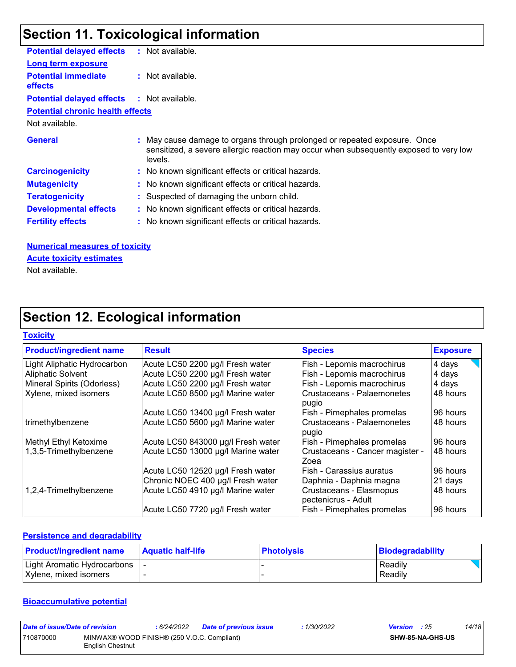### **Section 11. Toxicological information**

| <b>Potential delayed effects</b>             | : Not available.                                                                                                                                                               |
|----------------------------------------------|--------------------------------------------------------------------------------------------------------------------------------------------------------------------------------|
| <b>Long term exposure</b>                    |                                                                                                                                                                                |
| <b>Potential immediate</b><br><b>effects</b> | : Not available.                                                                                                                                                               |
| <b>Potential delayed effects</b>             | : Not available.                                                                                                                                                               |
| <b>Potential chronic health effects</b>      |                                                                                                                                                                                |
| Not available.                               |                                                                                                                                                                                |
| <b>General</b>                               | : May cause damage to organs through prolonged or repeated exposure. Once<br>sensitized, a severe allergic reaction may occur when subsequently exposed to very low<br>levels. |
| <b>Carcinogenicity</b>                       | : No known significant effects or critical hazards.                                                                                                                            |
| <b>Mutagenicity</b>                          | : No known significant effects or critical hazards.                                                                                                                            |
| <b>Teratogenicity</b>                        | : Suspected of damaging the unborn child.                                                                                                                                      |
| <b>Developmental effects</b>                 | : No known significant effects or critical hazards.                                                                                                                            |
| <b>Fertility effects</b>                     | : No known significant effects or critical hazards.                                                                                                                            |
|                                              |                                                                                                                                                                                |
|                                              |                                                                                                                                                                                |

### **Numerical measures of toxicity**

### **Acute toxicity estimates**

Not available.

### **Section 12. Ecological information**

#### **Toxicity**

| <b>Product/ingredient name</b> | <b>Result</b>                      | <b>Species</b>                                 | <b>Exposure</b> |
|--------------------------------|------------------------------------|------------------------------------------------|-----------------|
| Light Aliphatic Hydrocarbon    | Acute LC50 2200 µg/l Fresh water   | Fish - Lepomis macrochirus                     | 4 days          |
| <b>Aliphatic Solvent</b>       | Acute LC50 2200 µg/l Fresh water   | Fish - Lepomis macrochirus                     | 4 days          |
| Mineral Spirits (Odorless)     | Acute LC50 2200 µg/l Fresh water   | Fish - Lepomis macrochirus                     | 4 days          |
| Xylene, mixed isomers          | Acute LC50 8500 µg/l Marine water  | l Crustaceans - Palaemonetes<br>pugio          | 48 hours        |
|                                | Acute LC50 13400 µg/l Fresh water  | Fish - Pimephales promelas                     | 96 hours        |
| trimethylbenzene               | Acute LC50 5600 µg/l Marine water  | Crustaceans - Palaemonetes<br>pugio            | 48 hours        |
| Methyl Ethyl Ketoxime          | Acute LC50 843000 µg/l Fresh water | Fish - Pimephales promelas                     | 96 hours        |
| 1,3,5-Trimethylbenzene         | Acute LC50 13000 µg/l Marine water | Crustaceans - Cancer magister -<br>Zoea        | 48 hours        |
|                                | Acute LC50 12520 µg/l Fresh water  | Fish - Carassius auratus                       | 96 hours        |
|                                | Chronic NOEC 400 µg/l Fresh water  | Daphnia - Daphnia magna                        | 21 days         |
| 1,2,4-Trimethylbenzene         | Acute LC50 4910 µg/l Marine water  | Crustaceans - Elasmopus<br>pectenicrus - Adult | 48 hours        |
|                                | Acute LC50 7720 µg/l Fresh water   | Fish - Pimephales promelas                     | 96 hours        |

#### **Persistence and degradability**

| <b>Product/ingredient name</b> | <b>Aquatic half-life</b> | <b>Photolysis</b> | <b>Biodegradability</b> |
|--------------------------------|--------------------------|-------------------|-------------------------|
| Light Aromatic Hydrocarbons    |                          |                   | Readily                 |
| Xylene, mixed isomers          |                          |                   | Readily                 |

#### **Bioaccumulative potential**

| Date of issue/Date of revision |                                                                 | : 6/24/2022 | <b>Date of previous issue</b> | 1/30/2022 | <b>Version</b> : 25 |                         | 14/18 |
|--------------------------------|-----------------------------------------------------------------|-------------|-------------------------------|-----------|---------------------|-------------------------|-------|
| 710870000                      | MINWAX® WOOD FINISH® (250 V.O.C. Compliant)<br>English Chestnut |             |                               |           |                     | <b>SHW-85-NA-GHS-US</b> |       |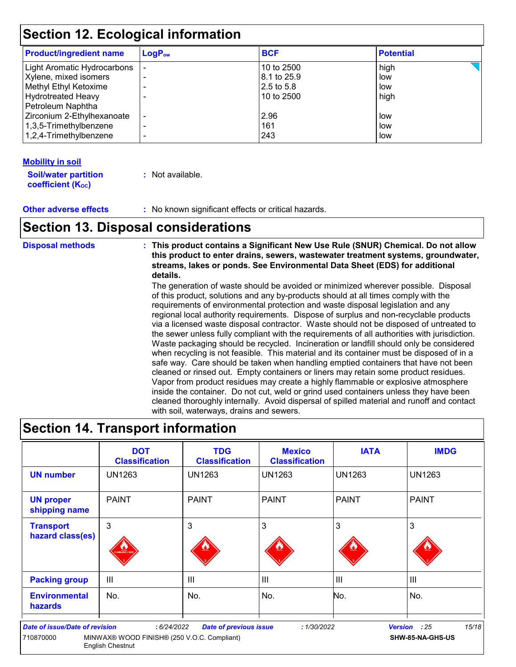### **Section 12. Ecological information**

| <b>Product/ingredient name</b>                                                                                                  | $LogP_{ow}$ | <b>BCF</b>                                              | <b>Potential</b>           |  |
|---------------------------------------------------------------------------------------------------------------------------------|-------------|---------------------------------------------------------|----------------------------|--|
| Light Aromatic Hydrocarbons<br>Xylene, mixed isomers<br>Methyl Ethyl Ketoxime<br><b>Hydrotreated Heavy</b><br>Petroleum Naphtha |             | 10 to 2500<br>8.1 to 25.9<br>$2.5$ to 5.8<br>10 to 2500 | high<br>low<br>low<br>high |  |
| Zirconium 2-Ethylhexanoate<br>1,3,5-Trimethylbenzene<br>1,2,4-Trimethylbenzene                                                  | ۰<br>-      | 2.96<br>161<br>243                                      | low<br>low<br>low          |  |

#### **Mobility in soil**

| <b>Soil/water partition</b> | : Not available. |
|-----------------------------|------------------|
| <b>coefficient (Koc)</b>    |                  |

**Other adverse effects :** No known significant effects or critical hazards.

### **Section 13. Disposal considerations**

**Disposal methods : This product contains a Significant New Use Rule (SNUR) Chemical. Do not allow this product to enter drains, sewers, wastewater treatment systems, groundwater, streams, lakes or ponds. See Environmental Data Sheet (EDS) for additional details.**

The generation of waste should be avoided or minimized wherever possible. Disposal of this product, solutions and any by-products should at all times comply with the requirements of environmental protection and waste disposal legislation and any regional local authority requirements. Dispose of surplus and non-recyclable products via a licensed waste disposal contractor. Waste should not be disposed of untreated to the sewer unless fully compliant with the requirements of all authorities with jurisdiction. Waste packaging should be recycled. Incineration or landfill should only be considered when recycling is not feasible. This material and its container must be disposed of in a safe way. Care should be taken when handling emptied containers that have not been cleaned or rinsed out. Empty containers or liners may retain some product residues. Vapor from product residues may create a highly flammable or explosive atmosphere inside the container. Do not cut, weld or grind used containers unless they have been cleaned thoroughly internally. Avoid dispersal of spilled material and runoff and contact with soil, waterways, drains and sewers.

### **Section 14. Transport information**

|                                                    | <b>DOT</b><br><b>Classification</b>                                                  | <b>TDG</b><br><b>Classification</b> | <b>Mexico</b><br><b>Classification</b> | <b>IATA</b>    | <b>IMDG</b>                       |
|----------------------------------------------------|--------------------------------------------------------------------------------------|-------------------------------------|----------------------------------------|----------------|-----------------------------------|
| <b>UN number</b>                                   | <b>UN1263</b>                                                                        | <b>UN1263</b>                       | <b>UN1263</b>                          | <b>UN1263</b>  | <b>UN1263</b>                     |
| <b>UN proper</b><br>shipping name                  | <b>PAINT</b>                                                                         | <b>PAINT</b>                        | <b>PAINT</b>                           | <b>PAINT</b>   | <b>PAINT</b>                      |
| <b>Transport</b><br>hazard class(es)               | 3<br><b>MINABLE LIQU</b>                                                             | 3                                   | 3                                      | 3              | 3                                 |
| <b>Packing group</b>                               | III                                                                                  | $\mathbf{III}$                      | $\mathbf{III}$                         | III            | $\mathbf{III}$                    |
| <b>Environmental</b><br><b>hazards</b>             | No.                                                                                  | No.                                 | No.                                    | No.            | No.                               |
| <b>Date of issue/Date of revision</b><br>710870000 | :6/24/2022<br>MINWAX® WOOD FINISH® (250 V.O.C. Compliant)<br><b>English Chestnut</b> | <b>Date of previous issue</b>       | :1/30/2022                             | <b>Version</b> | 15/18<br>: 25<br>SHW-85-NA-GHS-US |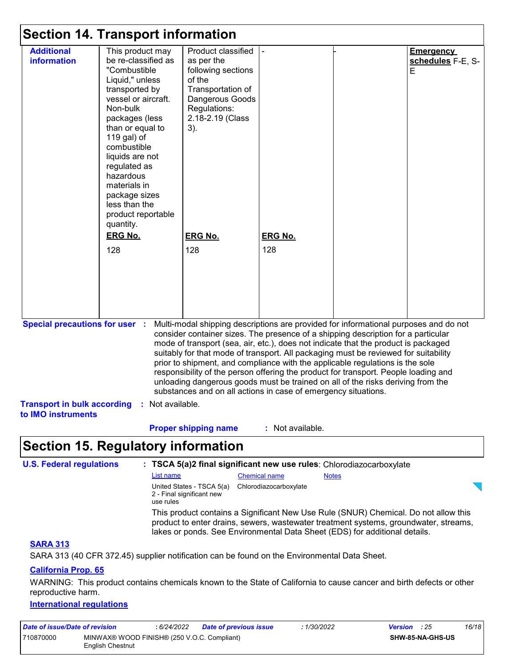|                                                                                                                                                                                                                                                                                                                                                                                                                                                                                                                                                                                                                                                                                                                              | <b>Section 14. Transport information</b>                                                                                                                                                                                                                                                                                                 |                                                                                                                                                        |                  |  |                                            |
|------------------------------------------------------------------------------------------------------------------------------------------------------------------------------------------------------------------------------------------------------------------------------------------------------------------------------------------------------------------------------------------------------------------------------------------------------------------------------------------------------------------------------------------------------------------------------------------------------------------------------------------------------------------------------------------------------------------------------|------------------------------------------------------------------------------------------------------------------------------------------------------------------------------------------------------------------------------------------------------------------------------------------------------------------------------------------|--------------------------------------------------------------------------------------------------------------------------------------------------------|------------------|--|--------------------------------------------|
| <b>Additional</b><br>information                                                                                                                                                                                                                                                                                                                                                                                                                                                                                                                                                                                                                                                                                             | This product may<br>be re-classified as<br>"Combustible<br>Liquid," unless<br>transported by<br>vessel or aircraft.<br>Non-bulk<br>packages (less<br>than or equal to<br>119 gal) of<br>combustible<br>liquids are not<br>regulated as<br>hazardous<br>materials in<br>package sizes<br>less than the<br>product reportable<br>quantity. | Product classified<br>as per the<br>following sections<br>of the<br>Transportation of<br>Dangerous Goods<br>Regulations:<br>2.18-2.19 (Class<br>$3)$ . |                  |  | <b>Emergency</b><br>schedules F-E, S-<br>E |
|                                                                                                                                                                                                                                                                                                                                                                                                                                                                                                                                                                                                                                                                                                                              | <b>ERG No.</b>                                                                                                                                                                                                                                                                                                                           | <b>ERG No.</b>                                                                                                                                         | <b>ERG No.</b>   |  |                                            |
|                                                                                                                                                                                                                                                                                                                                                                                                                                                                                                                                                                                                                                                                                                                              | 128                                                                                                                                                                                                                                                                                                                                      | 128                                                                                                                                                    | 128              |  |                                            |
| Multi-modal shipping descriptions are provided for informational purposes and do not<br><b>Special precautions for user :</b><br>consider container sizes. The presence of a shipping description for a particular<br>mode of transport (sea, air, etc.), does not indicate that the product is packaged<br>suitably for that mode of transport. All packaging must be reviewed for suitability<br>prior to shipment, and compliance with the applicable regulations is the sole<br>responsibility of the person offering the product for transport. People loading and<br>unloading dangerous goods must be trained on all of the risks deriving from the<br>substances and on all actions in case of emergency situations. |                                                                                                                                                                                                                                                                                                                                          |                                                                                                                                                        |                  |  |                                            |
| <b>Transport in bulk according</b><br>to IMO instruments                                                                                                                                                                                                                                                                                                                                                                                                                                                                                                                                                                                                                                                                     | Not available.<br>÷.                                                                                                                                                                                                                                                                                                                     |                                                                                                                                                        |                  |  |                                            |
|                                                                                                                                                                                                                                                                                                                                                                                                                                                                                                                                                                                                                                                                                                                              |                                                                                                                                                                                                                                                                                                                                          | <b>Proper shipping name</b>                                                                                                                            | : Not available. |  |                                            |
|                                                                                                                                                                                                                                                                                                                                                                                                                                                                                                                                                                                                                                                                                                                              | <b>Section 15. Regulatory information</b>                                                                                                                                                                                                                                                                                                |                                                                                                                                                        |                  |  |                                            |

| <b>U.S. Federal regulations</b> |                                                                     |                        | : TSCA 5(a)2 final significant new use rules: Chlorodiazocarboxylate                                                                                                                                                                                       |
|---------------------------------|---------------------------------------------------------------------|------------------------|------------------------------------------------------------------------------------------------------------------------------------------------------------------------------------------------------------------------------------------------------------|
|                                 | List name                                                           | <b>Chemical name</b>   | <b>Notes</b>                                                                                                                                                                                                                                               |
|                                 | United States - TSCA 5(a)<br>2 - Final significant new<br>use rules | Chlorodiazocarboxylate |                                                                                                                                                                                                                                                            |
|                                 |                                                                     |                        | This product contains a Significant New Use Rule (SNUR) Chemical. Do not allow this<br>product to enter drains, sewers, was tewater treatment systems, groundwater, streams,<br>lakes or ponds. See Environmental Data Sheet (EDS) for additional details. |
| <b>SARA 313</b>                 |                                                                     |                        |                                                                                                                                                                                                                                                            |

SARA 313 (40 CFR 372.45) supplier notification can be found on the Environmental Data Sheet.

### **California Prop. 65**

WARNING: This product contains chemicals known to the State of California to cause cancer and birth defects or other reproductive harm.

#### **International regulations**

| Date of issue/Date of revision |                                                                 | 6/24/2022 | <b>Date of previous issue</b> | : 1/30/2022 | <b>Version</b> : 25 |  | 16/18 |
|--------------------------------|-----------------------------------------------------------------|-----------|-------------------------------|-------------|---------------------|--|-------|
| 710870000                      | MINWAX® WOOD FINISH® (250 V.O.C. Compliant)<br>English Chestnut |           |                               |             | SHW-85-NA-GHS-US    |  |       |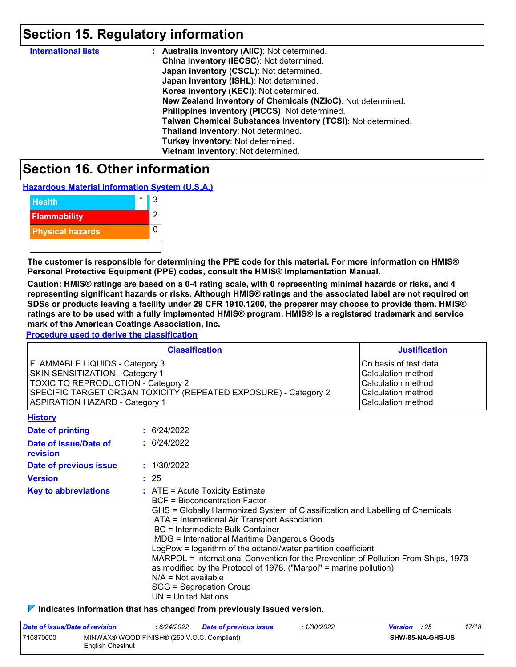### **Section 15. Regulatory information**

| <b>International lists</b> | : Australia inventory (AIIC): Not determined.                |
|----------------------------|--------------------------------------------------------------|
|                            | China inventory (IECSC): Not determined.                     |
|                            | Japan inventory (CSCL): Not determined.                      |
|                            | Japan inventory (ISHL): Not determined.                      |
|                            | Korea inventory (KECI): Not determined.                      |
|                            | New Zealand Inventory of Chemicals (NZIoC): Not determined.  |
|                            | Philippines inventory (PICCS): Not determined.               |
|                            | Taiwan Chemical Substances Inventory (TCSI): Not determined. |
|                            | Thailand inventory: Not determined.                          |
|                            | Turkey inventory: Not determined.                            |
|                            | Vietnam inventory: Not determined.                           |

### **Section 16. Other information**

**Hazardous Material Information System (U.S.A.)**

| <b>Health</b>           | 3 |
|-------------------------|---|
| <b>Flammability</b>     | 2 |
| <b>Physical hazards</b> |   |
|                         |   |

**The customer is responsible for determining the PPE code for this material. For more information on HMIS® Personal Protective Equipment (PPE) codes, consult the HMIS® Implementation Manual.**

**Caution: HMIS® ratings are based on a 0-4 rating scale, with 0 representing minimal hazards or risks, and 4 representing significant hazards or risks. Although HMIS® ratings and the associated label are not required on SDSs or products leaving a facility under 29 CFR 1910.1200, the preparer may choose to provide them. HMIS® ratings are to be used with a fully implemented HMIS® program. HMIS® is a registered trademark and service mark of the American Coatings Association, Inc.**

**Procedure used to derive the classification**

| <b>Classification</b>                                           | <b>Justification</b>  |
|-----------------------------------------------------------------|-----------------------|
| <b>FLAMMABLE LIQUIDS - Category 3</b>                           | On basis of test data |
| SKIN SENSITIZATION - Category 1                                 | Calculation method    |
| <b>TOXIC TO REPRODUCTION - Category 2</b>                       | Calculation method    |
| SPECIFIC TARGET ORGAN TOXICITY (REPEATED EXPOSURE) - Category 2 | Calculation method    |
| <b>ASPIRATION HAZARD - Category 1</b>                           | Calculation method    |
| History                                                         |                       |

| <u>.</u>                          |                                                                                                                                                                                                                                                                                                                                                                                                                                                                                                                                                                                                                       |
|-----------------------------------|-----------------------------------------------------------------------------------------------------------------------------------------------------------------------------------------------------------------------------------------------------------------------------------------------------------------------------------------------------------------------------------------------------------------------------------------------------------------------------------------------------------------------------------------------------------------------------------------------------------------------|
| Date of printing                  | : 6/24/2022                                                                                                                                                                                                                                                                                                                                                                                                                                                                                                                                                                                                           |
| Date of issue/Date of<br>revision | : 6/24/2022                                                                                                                                                                                                                                                                                                                                                                                                                                                                                                                                                                                                           |
| Date of previous issue            | : 1/30/2022                                                                                                                                                                                                                                                                                                                                                                                                                                                                                                                                                                                                           |
| <b>Version</b>                    | : 25                                                                                                                                                                                                                                                                                                                                                                                                                                                                                                                                                                                                                  |
| <b>Key to abbreviations</b>       | $\therefore$ ATE = Acute Toxicity Estimate<br>BCF = Bioconcentration Factor<br>GHS = Globally Harmonized System of Classification and Labelling of Chemicals<br>IATA = International Air Transport Association<br>IBC = Intermediate Bulk Container<br><b>IMDG = International Maritime Dangerous Goods</b><br>LogPow = logarithm of the octanol/water partition coefficient<br>MARPOL = International Convention for the Prevention of Pollution From Ships, 1973<br>as modified by the Protocol of 1978. ("Marpol" = marine pollution)<br>$N/A = Not available$<br>SGG = Segregation Group<br>$UN = United Nations$ |

**Indicates information that has changed from previously issued version.**

| Date of issue/Date of revision |                                                                        | 6/24/2022 | <b>Date of previous issue</b> | 1/30/2022               | <b>Version</b> : 25 |  | 17/18 |
|--------------------------------|------------------------------------------------------------------------|-----------|-------------------------------|-------------------------|---------------------|--|-------|
| 710870000                      | MINWAX® WOOD FINISH® (250 V.O.C. Compliant)<br><b>English Chestnut</b> |           |                               | <b>SHW-85-NA-GHS-US</b> |                     |  |       |